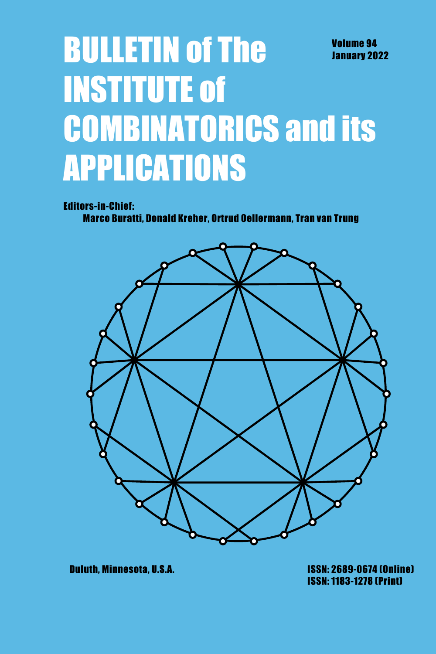# **BULLETIN of The Volume 94 January 2022 INSTITUTE of COMBINATORICS and its APPLICATIONS**

**Editors-in-Chief:** 

Marco Buratti, Donald Kreher, Ortrud Oellermann, Tran van Trung



**Duluth. Minnesota. U.S.A.** 

**ISSN: 2689-0674 (Online) ISSN: 1183-1278 (Print)**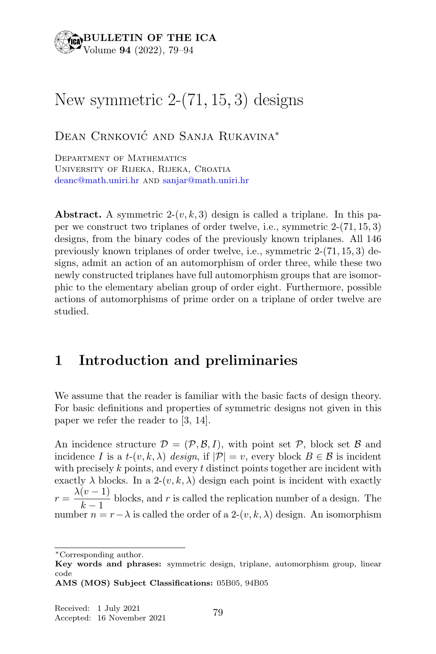#### BULLETIN OF THE ICA  $\gamma$ Volume 94 (2022), 79–94

# New symmetric 2-(71, 15, 3) designs

Dean Crnković and Sanja Rukavina<sup>\*</sup>

Department of Mathematics University of Rijeka, Rijeka, Croatia deanc@math.uniri.hr and sanjar@math.uniri.hr

**Abstract.** A symmetric  $2-(v, k, 3)$  design is called a triplane. In this paper we construct two triplanes of order twelve, i.e., symmetric 2-(71, 15, 3) designs, from the binary codes of the previously known triplanes. All 146 previously known triplanes of order twelve, i.e., symmetric 2-(71, 15, 3) designs, admit an action of an automorphism of order three, while these two newly constructed triplanes have full automorphism groups that are isomorphic to the elementary abelian group of order eight. Furthermore, possible actions of automorphisms of prime order on a triplane of order twelve are studied.

## 1 Introduction and preliminaries

We assume that the reader is familiar with the basic facts of design theory. For basic definitions and properties of symmetric designs not given in this paper we refer the reader to [3, 14].

An incidence structure  $\mathcal{D} = (\mathcal{P}, \mathcal{B}, I)$ , with point set  $\mathcal{P}$ , block set  $\mathcal{B}$  and incidence I is a t- $(v, k, \lambda)$  design, if  $|\mathcal{P}| = v$ , every block  $B \in \mathcal{B}$  is incident with precisely  $k$  points, and every  $t$  distinct points together are incident with exactly  $\lambda$  blocks. In a 2- $(v, k, \lambda)$  design each point is incident with exactly  $r = \frac{\lambda (v-1)}{1-z}$ blocks, and r is called the replication number of a design. The  $k-1$ number  $n = r - \lambda$  is called the order of a 2- $(v, k, \lambda)$  design. An isomorphism

AMS (MOS) Subject Classifications: 05B05, 94B05

<sup>∗</sup>Corresponding author.

Key words and phrases: symmetric design, triplane, automorphism group, linear code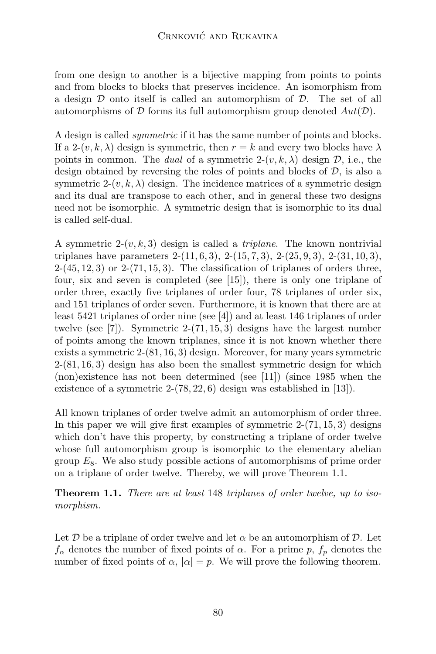from one design to another is a bijective mapping from points to points and from blocks to blocks that preserves incidence. An isomorphism from a design  $D$  onto itself is called an automorphism of  $D$ . The set of all automorphisms of  $D$  forms its full automorphism group denoted  $Aut(D)$ .

A design is called symmetric if it has the same number of points and blocks. If a 2- $(v, k, \lambda)$  design is symmetric, then  $r = k$  and every two blocks have  $\lambda$ points in common. The dual of a symmetric  $2-(v, k, \lambda)$  design  $\mathcal{D}$ , i.e., the design obtained by reversing the roles of points and blocks of  $D$ , is also a symmetric 2- $(v, k, \lambda)$  design. The incidence matrices of a symmetric design and its dual are transpose to each other, and in general these two designs need not be isomorphic. A symmetric design that is isomorphic to its dual is called self-dual.

A symmetric  $2-(v, k, 3)$  design is called a *triplane*. The known nontrivial triplanes have parameters  $2-(11, 6, 3), 2-(15, 7, 3), 2-(25, 9, 3), 2-(31, 10, 3),$  $2-(45, 12, 3)$  or  $2-(71, 15, 3)$ . The classification of triplanes of orders three, four, six and seven is completed (see [15]), there is only one triplane of order three, exactly five triplanes of order four, 78 triplanes of order six, and 151 triplanes of order seven. Furthermore, it is known that there are at least 5421 triplanes of order nine (see [4]) and at least 146 triplanes of order twelve (see [7]). Symmetric 2-(71, 15, 3) designs have the largest number of points among the known triplanes, since it is not known whether there exists a symmetric 2-(81, 16, 3) design. Moreover, for many years symmetric 2-(81, 16, 3) design has also been the smallest symmetric design for which (non)existence has not been determined (see [11]) (since 1985 when the existence of a symmetric  $2-(78, 22, 6)$  design was established in [13].

All known triplanes of order twelve admit an automorphism of order three. In this paper we will give first examples of symmetric  $2-(71, 15, 3)$  designs which don't have this property, by constructing a triplane of order twelve whose full automorphism group is isomorphic to the elementary abelian group  $E_8$ . We also study possible actions of automorphisms of prime order on a triplane of order twelve. Thereby, we will prove Theorem 1.1.

Theorem 1.1. There are at least 148 triplanes of order twelve, up to isomorphism.

Let  $\mathcal D$  be a triplane of order twelve and let  $\alpha$  be an automorphism of  $\mathcal D$ . Let  $f_{\alpha}$  denotes the number of fixed points of  $\alpha$ . For a prime p,  $f_{p}$  denotes the number of fixed points of  $\alpha$ ,  $|\alpha| = p$ . We will prove the following theorem.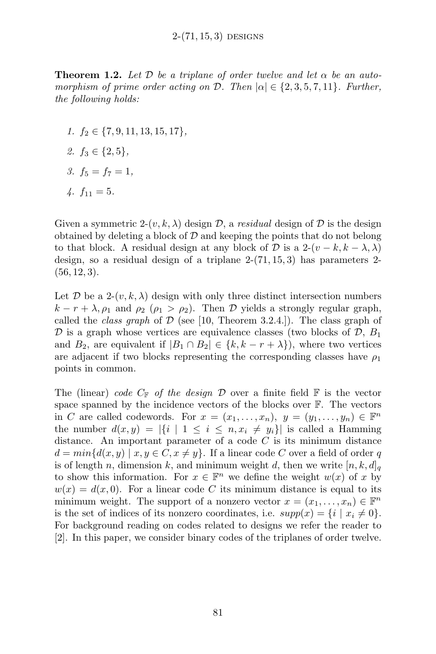**Theorem 1.2.** Let D be a triplane of order twelve and let  $\alpha$  be an automorphism of prime order acting on D. Then  $|\alpha| \in \{2, 3, 5, 7, 11\}$ . Further, the following holds:

- 1.  $f_2 \in \{7, 9, 11, 13, 15, 17\},\$
- 2.  $f_3 \in \{2, 5\}$ ,
- 3.  $f_5 = f_7 = 1$ ,
- $4. f_{11} = 5.$

Given a symmetric 2- $(v, k, \lambda)$  design  $\mathcal{D}$ , a residual design of  $\mathcal{D}$  is the design obtained by deleting a block of  $\mathcal D$  and keeping the points that do not belong to that block. A residual design at any block of D is a  $2-(v-k, k-\lambda, \lambda)$ design, so a residual design of a triplane  $2-(71, 15, 3)$  has parameters 2- $(56, 12, 3).$ 

Let  $\mathcal{D}$  be a 2- $(v, k, \lambda)$  design with only three distinct intersection numbers  $k - r + \lambda$ ,  $\rho_1$  and  $\rho_2$  ( $\rho_1 > \rho_2$ ). Then D yields a strongly regular graph, called the *class graph* of  $\mathcal{D}$  (see [10, Theorem 3.2.4.]). The class graph of  $\mathcal D$  is a graph whose vertices are equivalence classes (two blocks of  $\mathcal D$ ,  $B_1$ and  $B_2$ , are equivalent if  $|B_1 \cap B_2| \in \{k, k - r + \lambda\}$ , where two vertices are adjacent if two blocks representing the corresponding classes have  $\rho_1$ points in common.

The (linear) code  $C_F$  of the design D over a finite field  $\mathbb F$  is the vector space spanned by the incidence vectors of the blocks over F. The vectors in C are called codewords. For  $x = (x_1, \ldots, x_n), y = (y_1, \ldots, y_n) \in \mathbb{F}^n$ the number  $d(x, y) = |\{i \mid 1 \leq i \leq n, x_i \neq y_i\}|$  is called a Hamming distance. An important parameter of a code  $C$  is its minimum distance  $d = min\{d(x, y) \mid x, y \in C, x \neq y\}.$  If a linear code C over a field of order q is of length n, dimension k, and minimum weight d, then we write  $[n, k, d]_q$ to show this information. For  $x \in \mathbb{F}^n$  we define the weight  $w(x)$  of x by  $w(x) = d(x, 0)$ . For a linear code C its minimum distance is equal to its minimum weight. The support of a nonzero vector  $x = (x_1, \ldots, x_n) \in \mathbb{F}^n$ is the set of indices of its nonzero coordinates, i.e.  $supp(x) = \{i \mid x_i \neq 0\}.$ For background reading on codes related to designs we refer the reader to [2]. In this paper, we consider binary codes of the triplanes of order twelve.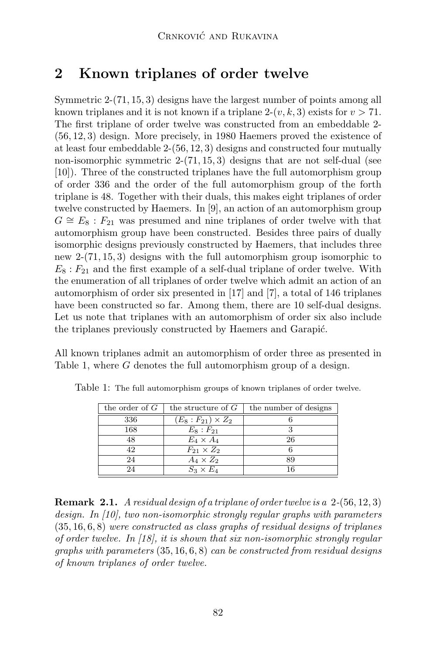## 2 Known triplanes of order twelve

Symmetric 2-(71, 15, 3) designs have the largest number of points among all known triplanes and it is not known if a triplane  $2-(v, k, 3)$  exists for  $v > 71$ . The first triplane of order twelve was constructed from an embeddable 2- (56, 12, 3) design. More precisely, in 1980 Haemers proved the existence of at least four embeddable 2-(56, 12, 3) designs and constructed four mutually non-isomorphic symmetric 2-(71, 15, 3) designs that are not self-dual (see [10]). Three of the constructed triplanes have the full automorphism group of order 336 and the order of the full automorphism group of the forth triplane is 48. Together with their duals, this makes eight triplanes of order twelve constructed by Haemers. In [9], an action of an automorphism group  $G \cong E_8 : F_{21}$  was presumed and nine triplanes of order twelve with that automorphism group have been constructed. Besides three pairs of dually isomorphic designs previously constructed by Haemers, that includes three new 2-(71, 15, 3) designs with the full automorphism group isomorphic to  $E_8: F_{21}$  and the first example of a self-dual triplane of order twelve. With the enumeration of all triplanes of order twelve which admit an action of an automorphism of order six presented in [17] and [7], a total of 146 triplanes have been constructed so far. Among them, there are 10 self-dual designs. Let us note that triplanes with an automorphism of order six also include the triplanes previously constructed by Haemers and Garapić.

All known triplanes admit an automorphism of order three as presented in Table 1, where G denotes the full automorphism group of a design.

| the order of $G$ | the structure of $G$        | the number of designs |
|------------------|-----------------------------|-----------------------|
| 336              | $(E_8 : F_{21}) \times Z_2$ |                       |
| 168              | $E_8: F_{21}$               | З                     |
| 48               | $E_4 \times A_4$            | 26                    |
| 42.              | $F_{21} \times Z_2$         | 6                     |
| 24               | $A_4 \times Z_2$            | 89                    |
| 24               | $S_3 \times E_4$            | 16                    |

Table 1: The full automorphism groups of known triplanes of order twelve.

**Remark 2.1.** A residual design of a triplane of order twelve is a  $2-(56, 12, 3)$ design. In [10], two non-isomorphic strongly regular graphs with parameters (35, 16, 6, 8) were constructed as class graphs of residual designs of triplanes of order twelve. In  $(18)$ , it is shown that six non-isomorphic strongly regular graphs with parameters  $(35, 16, 6, 8)$  can be constructed from residual designs of known triplanes of order twelve.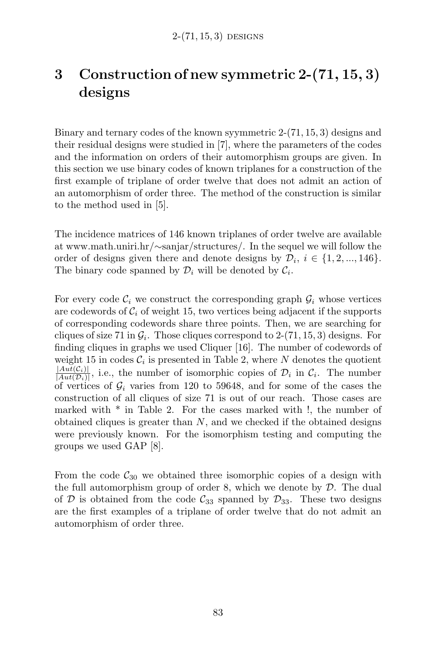# 3 Construction of new symmetric 2-(71, 15, 3) designs

Binary and ternary codes of the known syymmetric 2-(71, 15, 3) designs and their residual designs were studied in [7], where the parameters of the codes and the information on orders of their automorphism groups are given. In this section we use binary codes of known triplanes for a construction of the first example of triplane of order twelve that does not admit an action of an automorphism of order three. The method of the construction is similar to the method used in [5].

The incidence matrices of 146 known triplanes of order twelve are available at www.math.uniri.hr/∼sanjar/structures/. In the sequel we will follow the order of designs given there and denote designs by  $\mathcal{D}_i$ ,  $i \in \{1, 2, ..., 146\}$ . The binary code spanned by  $\mathcal{D}_i$  will be denoted by  $\mathcal{C}_i$ .

For every code  $\mathcal{C}_i$  we construct the corresponding graph  $\mathcal{G}_i$  whose vertices are codewords of  $C_i$  of weight 15, two vertices being adjacent if the supports of corresponding codewords share three points. Then, we are searching for cliques of size 71 in  $\mathcal{G}_i$ . Those cliques correspond to 2-(71, 15, 3) designs. For finding cliques in graphs we used Cliquer [16]. The number of codewords of weight 15 in codes  $\mathcal{C}_i$  is presented in Table 2, where N denotes the quotient  $|Aut(C_i)|$  $\frac{|Aut(i)|}{|Aut(D_i)|}$ , i.e., the number of isomorphic copies of  $D_i$  in  $C_i$ . The number of vertices of  $\mathcal{G}_i$  varies from 120 to 59648, and for some of the cases the construction of all cliques of size 71 is out of our reach. Those cases are marked with \* in Table 2. For the cases marked with !, the number of obtained cliques is greater than  $N$ , and we checked if the obtained designs were previously known. For the isomorphism testing and computing the groups we used GAP [8].

From the code  $C_{30}$  we obtained three isomorphic copies of a design with the full automorphism group of order 8, which we denote by  $\mathcal{D}$ . The dual of D is obtained from the code  $C_{33}$  spanned by  $\mathcal{D}_{33}$ . These two designs are the first examples of a triplane of order twelve that do not admit an automorphism of order three.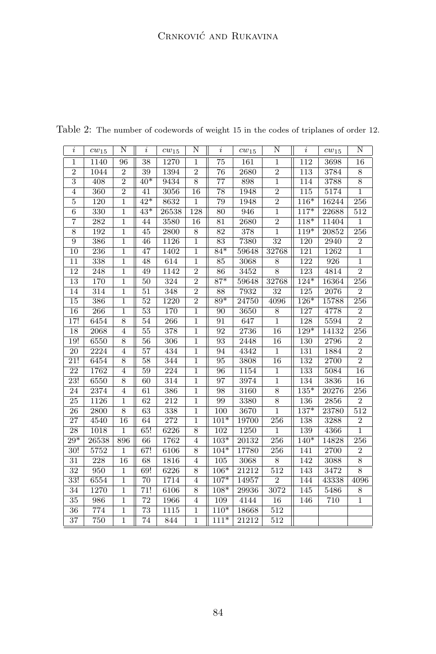| $\dot{i}$                 | $cw_{15}$        | N              | $\dot{i}$       | $cw_{15}$ | N              | $\dot{i}$         | $cw_{15}$ | N                | $\dot{i}$        | $cw_{15}$ | N                |
|---------------------------|------------------|----------------|-----------------|-----------|----------------|-------------------|-----------|------------------|------------------|-----------|------------------|
| $\mathbf 1$               | 1140             | 96             | 38              | 1270      | $\mathbf 1$    | 75                | 161       | $\mathbf 1$      | 112              | 3698      | 16               |
| $\overline{2}$            | 1044             | $\overline{2}$ | 39              | 1394      | $\overline{2}$ | 76                | 2680      | $\overline{2}$   | 113              | 3784      | $\overline{8}$   |
| $\overline{\overline{3}}$ | 408              | $\overline{2}$ | $40*$           | 9434      | $\overline{8}$ | $\overline{77}$   | 898       | $\overline{1}$   | 114              | 3788      | $\overline{8}$   |
| $\overline{4}$            | 360              | $\overline{2}$ | 41              | 3056      | 16             | 78                | 1948      | $\overline{2}$   | 115              | 5174      | $\mathbf{1}$     |
| 5                         | 120              | $\mathbf{1}$   | $42*$           | 8632      | $\mathbf{1}$   | 79                | 1948      | $\overline{2}$   | $116*$           | 16244     | 256              |
| $\overline{6}$            | 330              | $\mathbf{1}$   | $43*$           | 26538     | 128            | $\overline{80}$   | 946       | $\overline{1}$   | $117*$           | 22688     | 512              |
| 7                         | $\overline{282}$ | 1              | 44              | 3580      | 16             | 81                | 2680      | $\overline{2}$   | $118*$           | 11404     | $\mathbf{1}$     |
| 8                         | 192              | $\mathbf{1}$   | 45              | 2800      | 8              | 82                | 378       | $\overline{1}$   | $119*$           | 20852     | 256              |
| 9                         | 386              | $\mathbf 1$    | 46              | 1126      | $\mathbf 1$    | 83                | 7380      | 32               | 120              | 2940      | $\overline{2}$   |
| 10                        | 236              | $\mathbf 1$    | 47              | 1402      | $\,1$          | $84*$             | 59648     | 32768            | 121              | 1262      | $\overline{1}$   |
| 11                        | 338              | $\mathbf 1$    | 48              | 614       | $\mathbf{1}$   | 85                | 3068      | 8                | 122              | 926       | 1                |
| $\overline{12}$           | 248              | $\overline{1}$ | 49              | 1142      | $\overline{2}$ | 86                | 3452      | $\overline{8}$   | 123              | 4814      | $\overline{2}$   |
| 13                        | 170              | $\mathbf{1}$   | 50              | 324       | $\overline{2}$ | $\overline{87^*}$ | 59648     | 32768            | $124*$           | 16364     | $\overline{256}$ |
| 14                        | 314              | $\mathbf{1}$   | 51              | 348       | $\overline{2}$ | 88                | 7932      | 32               | $\overline{125}$ | 2076      | $\overline{2}$   |
| 15                        | 386              | $\overline{1}$ | 52              | 1220      | $\overline{2}$ | $89*$             | 24750     | 4096             | $126*$           | 15788     | 256              |
| 16                        | 266              | $\overline{1}$ | $\overline{53}$ | 170       | $\overline{1}$ | 90                | 3650      | $\overline{8}$   | 127              | 4778      | $\overline{2}$   |
| 17!                       | 6454             | 8              | 54              | 266       | $\mathbf{1}$   | 91                | 647       | $\overline{1}$   | 128              | 5594      | $\overline{2}$   |
| 18                        | 2068             | 4              | 55              | 378       | $\mathbf{1}$   | 92                | 2736      | 16               | 129*             | 14132     | 256              |
| 19!                       | 6550             | $\overline{8}$ | $\overline{56}$ | 306       | $\overline{1}$ | 93                | 2448      | 16               | 130              | 2796      | $\overline{2}$   |
| $\overline{20}$           | 2224             | $\overline{4}$ | $\overline{57}$ | 434       | $\mathbf{1}$   | 94                | 4342      | $\overline{1}$   | 131              | 1884      | $\overline{2}$   |
| 21!                       | 6454             | 8              | 58              | 344       | $\mathbf{1}$   | 95                | 3808      | 16               | 132              | 2700      | $\overline{2}$   |
| 22                        | 1762             | $\overline{4}$ | 59              | 224       | $\mathbf{1}$   | 96                | 1154      | $\overline{1}$   | 133              | 5084      | 16               |
| $\overline{23!}$          | 6550             | 8              | 60              | 314       | $\mathbf{1}$   | 97                | 3974      | $\overline{1}$   | 134              | 3836      | 16               |
| 24                        | 2374             | $\overline{4}$ | 61              | 386       | $\mathbf{1}$   | 98                | 3160      | $\,$ 8 $\,$      | $135*$           | 20276     | 256              |
| 25                        | 1126             | $\mathbf{1}$   | 62              | 212       | $\mathbf{1}$   | 99                | 3380      | $\overline{8}$   | 136              | 2856      | $\overline{2}$   |
| 26                        | 2800             | $\overline{8}$ | 63              | 338       | $\mathbf 1$    | 100               | 3670      | $\overline{1}$   | $137*$           | 23780     | 512              |
| 27                        | 4540             | 16             | 64              | 272       | $\mathbf 1$    | $101*$            | 19700     | 256              | 138              | 3288      | $\boldsymbol{2}$ |
| 28                        | 1018             | $\mathbf{1}$   | 65!             | 6226      | 8              | 102               | 1250      | $\overline{1}$   | 139              | 4366      | $\overline{1}$   |
| $29*$                     | 26538            | 896            | 66              | 1762      | $\overline{4}$ | $103*$            | 20132     | 256              | $140*$           | 14828     | $\overline{256}$ |
| 30!                       | 5752             | $\overline{1}$ | 67!             | 6106      | 8              | $104*$            | 17780     | 256              | 141              | 2700      | $\overline{2}$   |
| 31                        | 228              | 16             | 68              | 1816      | $\overline{4}$ | 105               | 3068      | 8                | 142              | 3088      | 8                |
| 32                        | 950              | $\mathbf{1}$   | 69!             | 6226      | $\overline{8}$ | $106*$            | 21212     | 512              | 143              | 3472      | $\overline{8}$   |
| $\overline{33!}$          | 6554             | $\overline{1}$ | $\overline{70}$ | 1714      | $\overline{4}$ | $107*$            | 14957     | $\overline{2}$   | 144              | 43338     | 4096             |
| 34                        | 1270             | $\mathbf{1}$   | 71!             | 6106      | 8              | $108*$            | 29936     | 3072             | 145              | 5486      | 8                |
| 35                        | 986              | $\mathbf{1}$   | 72              | 1966      | $\overline{4}$ | 109               | 4144      | 16               | 146              | 710       | $\overline{1}$   |
| 36                        | 774              | $\overline{1}$ | 73              | 1115      | $\mathbf{1}$   | $110*$            | 18668     | $\overline{512}$ |                  |           |                  |
| 37                        | 750              | $\mathbf{1}$   | 74              | 844       | $\mathbf{1}$   | $111*$            | 21212     | 512              |                  |           |                  |

Table 2: The number of codewords of weight 15 in the codes of triplanes of order 12.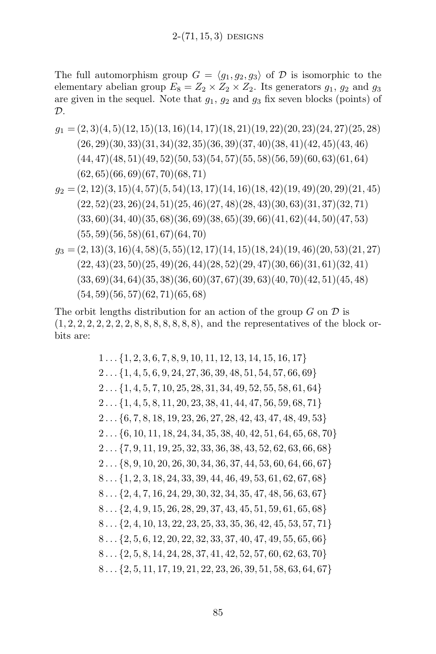The full automorphism group  $G = \langle q_1, q_2, q_3 \rangle$  of D is isomorphic to the elementary abelian group  $E_8 = Z_2 \times Z_2 \times Z_2$ . Its generators  $g_1, g_2$  and  $g_3$ are given in the sequel. Note that  $g_1, g_2$  and  $g_3$  fix seven blocks (points) of  $\mathcal{D}$ .

$$
g_1 = (2,3)(4,5)(12,15)(13,16)(14,17)(18,21)(19,22)(20,23)(24,27)(25,28)
$$
  
\n
$$
(26,29)(30,33)(31,34)(32,35)(36,39)(37,40)(38,41)(42,45)(43,46)
$$
  
\n
$$
(44,47)(48,51)(49,52)(50,53)(54,57)(55,58)(56,59)(60,63)(61,64)
$$
  
\n
$$
(62,65)(66,69)(67,70)(68,71)
$$

 $g_2 = (2, 12)(3, 15)(4, 57)(5, 54)(13, 17)(14, 16)(18, 42)(19, 49)(20, 29)(21, 45)$  $(22, 52)(23, 26)(24, 51)(25, 46)(27, 48)(28, 43)(30, 63)(31, 37)(32, 71)$  $(33, 60)(34, 40)(35, 68)(36, 69)(38, 65)(39, 66)(41, 62)(44, 50)(47, 53)$  $(55, 59)(56, 58)(61, 67)(64, 70)$ 

$$
g_3 = (2, 13)(3, 16)(4, 58)(5, 55)(12, 17)(14, 15)(18, 24)(19, 46)(20, 53)(21, 27)
$$
  
\n
$$
(22, 43)(23, 50)(25, 49)(26, 44)(28, 52)(29, 47)(30, 66)(31, 61)(32, 41)
$$
  
\n
$$
(33, 69)(34, 64)(35, 38)(36, 60)(37, 67)(39, 63)(40, 70)(42, 51)(45, 48)
$$
  
\n
$$
(54, 59)(56, 57)(62, 71)(65, 68)
$$

The orbit lengths distribution for an action of the group  $G$  on  $\mathcal D$  is  $(1, 2, 2, 2, 2, 2, 2, 2, 8, 8, 8, 8, 8, 8, 8)$ , and the representatives of the block orbits are:

> $1 \ldots \{1, 2, 3, 6, 7, 8, 9, 10, 11, 12, 13, 14, 15, 16, 17\}$  $2 \ldots \{1, 4, 5, 6, 9, 24, 27, 36, 39, 48, 51, 54, 57, 66, 69\}$  $2 \ldots \{1, 4, 5, 7, 10, 25, 28, 31, 34, 49, 52, 55, 58, 61, 64\}$  $2 \ldots \{1, 4, 5, 8, 11, 20, 23, 38, 41, 44, 47, 56, 59, 68, 71\}$ 2 . . . {6, 7, 8, 18, 19, 23, 26, 27, 28, 42, 43, 47, 48, 49, 53}  $2 \ldots \{6, 10, 11, 18, 24, 34, 35, 38, 40, 42, 51, 64, 65, 68, 70\}$  $2 \ldots \{7, 9, 11, 19, 25, 32, 33, 36, 38, 43, 52, 62, 63, 66, 68\}$  $2 \ldots \{8, 9, 10, 20, 26, 30, 34, 36, 37, 44, 53, 60, 64, 66, 67\}$ 8 . . . {1, 2, 3, 18, 24, 33, 39, 44, 46, 49, 53, 61, 62, 67, 68} 8 . . . {2, 4, 7, 16, 24, 29, 30, 32, 34, 35, 47, 48, 56, 63, 67} 8 . . . {2, 4, 9, 15, 26, 28, 29, 37, 43, 45, 51, 59, 61, 65, 68} 8 . . . {2, 4, 10, 13, 22, 23, 25, 33, 35, 36, 42, 45, 53, 57, 71} 8 . . . {2, 5, 6, 12, 20, 22, 32, 33, 37, 40, 47, 49, 55, 65, 66} 8 . . . {2, 5, 8, 14, 24, 28, 37, 41, 42, 52, 57, 60, 62, 63, 70} 8 . . . {2, 5, 11, 17, 19, 21, 22, 23, 26, 39, 51, 58, 63, 64, 67}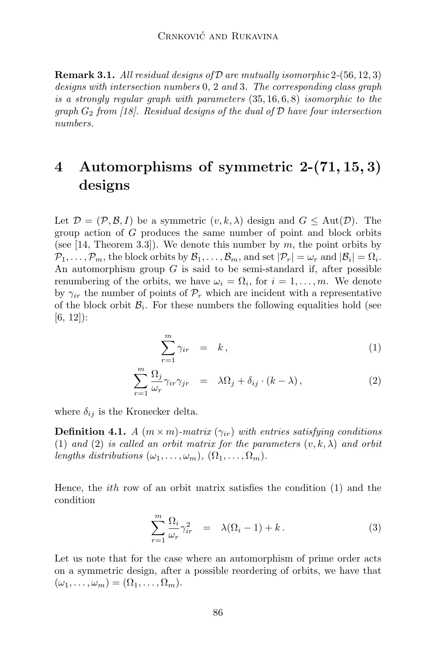**Remark 3.1.** All residual designs of  $D$  are mutually isomorphic 2-(56, 12, 3) designs with intersection numbers 0, 2 and 3. The corresponding class graph is a strongly regular graph with parameters (35, 16, 6, 8) isomorphic to the graph  $G_2$  from [18]. Residual designs of the dual of  $D$  have four intersection numbers.

# 4 Automorphisms of symmetric 2-(71, 15, 3) designs

Let  $\mathcal{D} = (\mathcal{P}, \mathcal{B}, I)$  be a symmetric  $(v, k, \lambda)$  design and  $G \leq \text{Aut}(\mathcal{D})$ . The group action of G produces the same number of point and block orbits (see [14, Theorem 3.3]). We denote this number by  $m$ , the point orbits by  $\mathcal{P}_1,\ldots,\mathcal{P}_m$ , the block orbits by  $\mathcal{B}_1,\ldots,\mathcal{B}_m$ , and set  $|\mathcal{P}_r|=\omega_r$  and  $|\mathcal{B}_i|=\Omega_i$ . An automorphism group  $G$  is said to be semi-standard if, after possible renumbering of the orbits, we have  $\omega_i = \Omega_i$ , for  $i = 1, \ldots, m$ . We denote by  $\gamma_{ir}$  the number of points of  $\mathcal{P}_r$  which are incident with a representative of the block orbit  $\mathcal{B}_i$ . For these numbers the following equalities hold (see [6, 12]):

$$
\sum_{r=1}^{m} \gamma_{ir} = k, \qquad (1)
$$

$$
\sum_{r=1}^{m} \frac{\Omega_j}{\omega_r} \gamma_{ir} \gamma_{jr} = \lambda \Omega_j + \delta_{ij} \cdot (k - \lambda), \qquad (2)
$$

where  $\delta_{ij}$  is the Kronecker delta.

**Definition 4.1.** A  $(m \times m)$ -matrix  $(\gamma_{ir})$  with entries satisfying conditions (1) and (2) is called an orbit matrix for the parameters  $(v, k, \lambda)$  and orbit lengths distributions  $(\omega_1, \ldots, \omega_m)$ ,  $(\Omega_1, \ldots, \Omega_m)$ .

Hence, the *ith* row of an orbit matrix satisfies the condition  $(1)$  and the condition

$$
\sum_{r=1}^{m} \frac{\Omega_i}{\omega_r} \gamma_{ir}^2 = \lambda(\Omega_i - 1) + k. \tag{3}
$$

Let us note that for the case where an automorphism of prime order acts on a symmetric design, after a possible reordering of orbits, we have that  $(\omega_1, \ldots, \omega_m) = (\Omega_1, \ldots, \Omega_m).$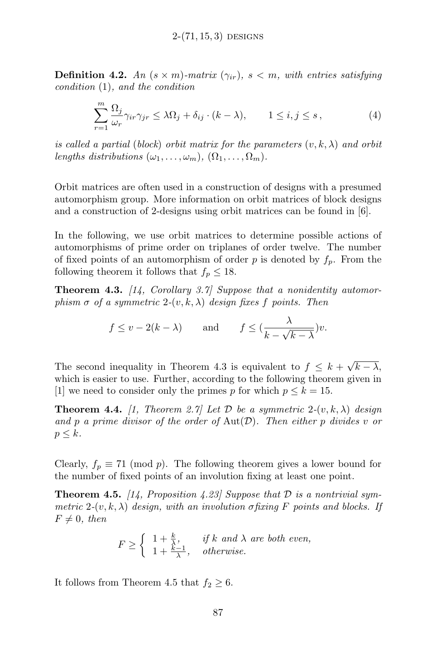**Definition 4.2.** An  $(s \times m)$ -matrix  $(\gamma_{ir})$ ,  $s < m$ , with entries satisfying condition (1), and the condition

$$
\sum_{r=1}^{m} \frac{\Omega_j}{\omega_r} \gamma_{ir} \gamma_{jr} \le \lambda \Omega_j + \delta_{ij} \cdot (k - \lambda), \qquad 1 \le i, j \le s,
$$
 (4)

is called a partial (block) orbit matrix for the parameters  $(v, k, \lambda)$  and orbit lengths distributions  $(\omega_1, \ldots, \omega_m)$ ,  $(\Omega_1, \ldots, \Omega_m)$ .

Orbit matrices are often used in a construction of designs with a presumed automorphism group. More information on orbit matrices of block designs and a construction of 2-designs using orbit matrices can be found in [6].

In the following, we use orbit matrices to determine possible actions of automorphisms of prime order on triplanes of order twelve. The number of fixed points of an automorphism of order p is denoted by  $f_p$ . From the following theorem it follows that  $f_p \leq 18$ .

**Theorem 4.3.** [14, Corollary 3.7] Suppose that a nonidentity automorphism  $\sigma$  of a symmetric 2- $(v, k, \lambda)$  design fixes f points. Then

$$
f \le v - 2(k - \lambda)
$$
 and  $f \le \left(\frac{\lambda}{k - \sqrt{k - \lambda}}\right)v$ .

The second inequality in Theorem 4.3 is equivalent to  $f \leq k + \sqrt{k - \lambda}$ , which is easier to use. Further, according to the following theorem given in [1] we need to consider only the primes p for which  $p \leq k = 15$ .

**Theorem 4.4.** [1, Theorem 2.7] Let D be a symmetric  $2-(v, k, \lambda)$  design and p a prime divisor of the order of  $\text{Aut}(\mathcal{D})$ . Then either p divides v or  $p \leq k$ .

Clearly,  $f_p \equiv 71 \pmod{p}$ . The following theorem gives a lower bound for the number of fixed points of an involution fixing at least one point.

**Theorem 4.5.** [14, Proposition 4.23] Suppose that  $D$  is a nontrivial symmetric 2- $(v, k, \lambda)$  design, with an involution σfixing F points and blocks. If  $F \neq 0$ , then

$$
F \ge \begin{cases} 1 + \frac{k}{\lambda}, & \text{if } k \text{ and } \lambda \text{ are both even,} \\ 1 + \frac{k-1}{\lambda}, & \text{otherwise.} \end{cases}
$$

It follows from Theorem 4.5 that  $f_2 \geq 6$ .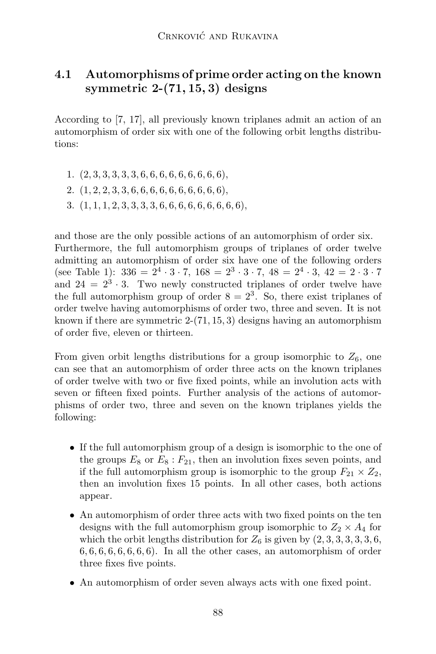### 4.1 Automorphisms of prime order acting on the known symmetric  $2-(71, 15, 3)$  designs

According to [7, 17], all previously known triplanes admit an action of an automorphism of order six with one of the following orbit lengths distributions:

- 1.  $(2, 3, 3, 3, 3, 3, 6, 6, 6, 6, 6, 6, 6, 6, 6)$ ,
- 2. (1, 2, 2, 3, 3, 6, 6, 6, 6, 6, 6, 6, 6, 6, 6),
- 3. (1, 1, 1, 2, 3, 3, 3, 3, 6, 6, 6, 6, 6, 6, 6, 6, 6),

and those are the only possible actions of an automorphism of order six. Furthermore, the full automorphism groups of triplanes of order twelve admitting an automorphism of order six have one of the following orders (see Table 1):  $336 = 2^4 \cdot 3 \cdot 7$ ,  $168 = 2^3 \cdot 3 \cdot 7$ ,  $48 = 2^4 \cdot 3$ ,  $42 = 2 \cdot 3 \cdot 7$ and  $24 = 2^3 \cdot 3$ . Two newly constructed triplanes of order twelve have the full automorphism group of order  $8 = 2^3$ . So, there exist triplanes of order twelve having automorphisms of order two, three and seven. It is not known if there are symmetric  $2-(71, 15, 3)$  designs having an automorphism of order five, eleven or thirteen.

From given orbit lengths distributions for a group isomorphic to  $Z_6$ , one can see that an automorphism of order three acts on the known triplanes of order twelve with two or five fixed points, while an involution acts with seven or fifteen fixed points. Further analysis of the actions of automorphisms of order two, three and seven on the known triplanes yields the following:

- If the full automorphism group of a design is isomorphic to the one of the groups  $E_8$  or  $E_8$ :  $F_{21}$ , then an involution fixes seven points, and if the full automorphism group is isomorphic to the group  $F_{21} \times Z_2$ , then an involution fixes 15 points. In all other cases, both actions appear.
- An automorphism of order three acts with two fixed points on the ten designs with the full automorphism group isomorphic to  $Z_2 \times A_4$  for which the orbit lengths distribution for  $Z_6$  is given by  $(2, 3, 3, 3, 3, 3, 6, 6)$  $6, 6, 6, 6, 6, 6, 6, 6$ . In all the other cases, an automorphism of order three fixes five points.
- An automorphism of order seven always acts with one fixed point.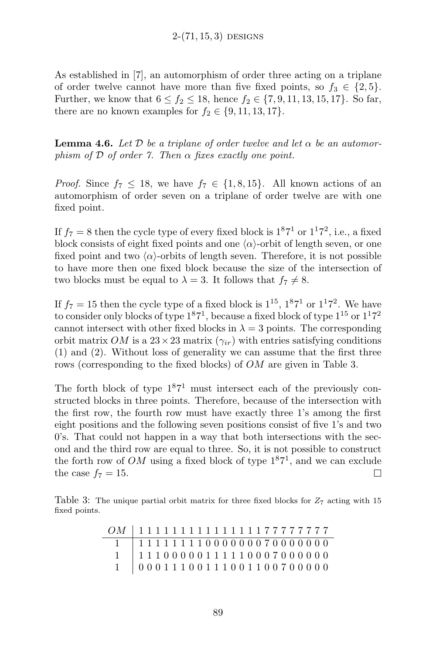As established in [7], an automorphism of order three acting on a triplane of order twelve cannot have more than five fixed points, so  $f_3 \in \{2, 5\}.$ Further, we know that  $6 \le f_2 \le 18$ , hence  $f_2 \in \{7, 9, 11, 13, 15, 17\}$ . So far, there are no known examples for  $f_2 \in \{9, 11, 13, 17\}.$ 

**Lemma 4.6.** Let D be a triplane of order twelve and let  $\alpha$  be an automorphism of  $D$  of order 7. Then  $\alpha$  fixes exactly one point.

*Proof.* Since  $f_7 \n\t\leq 18$ , we have  $f_7 \in \{1, 8, 15\}$ . All known actions of an automorphism of order seven on a triplane of order twelve are with one fixed point.

If  $f_7 = 8$  then the cycle type of every fixed block is  $1^87^1$  or  $1^17^2$ , i.e., a fixed block consists of eight fixed points and one  $\langle \alpha \rangle$ -orbit of length seven, or one fixed point and two  $\langle \alpha \rangle$ -orbits of length seven. Therefore, it is not possible to have more then one fixed block because the size of the intersection of two blocks must be equal to  $\lambda = 3$ . It follows that  $f_7 \neq 8$ .

If  $f_7 = 15$  then the cycle type of a fixed block is  $1^{15}$ ,  $1^{8}7^{1}$  or  $1^{1}7^{2}$ . We have to consider only blocks of type  $1^87^1$ , because a fixed block of type  $1^{15}$  or  $1^17^2$ cannot intersect with other fixed blocks in  $\lambda = 3$  points. The corresponding orbit matrix OM is a  $23 \times 23$  matrix  $(\gamma_{ir})$  with entries satisfying conditions (1) and (2). Without loss of generality we can assume that the first three rows (corresponding to the fixed blocks) of OM are given in Table 3.

The forth block of type  $1^87^1$  must intersect each of the previously constructed blocks in three points. Therefore, because of the intersection with the first row, the fourth row must have exactly three 1's among the first eight positions and the following seven positions consist of five 1's and two 0's. That could not happen in a way that both intersections with the second and the third row are equal to three. So, it is not possible to construct the forth row of  $OM$  using a fixed block of type  $1<sup>8</sup>7<sup>1</sup>$ , and we can exclude the case  $f_7 = 15$ .  $\Box$ 

Table 3: The unique partial orbit matrix for three fixed blocks for  $Z_7$  acting with 15 fixed points.

| 0M   11111111111111177777777 |
|------------------------------|
|                              |
|                              |
|                              |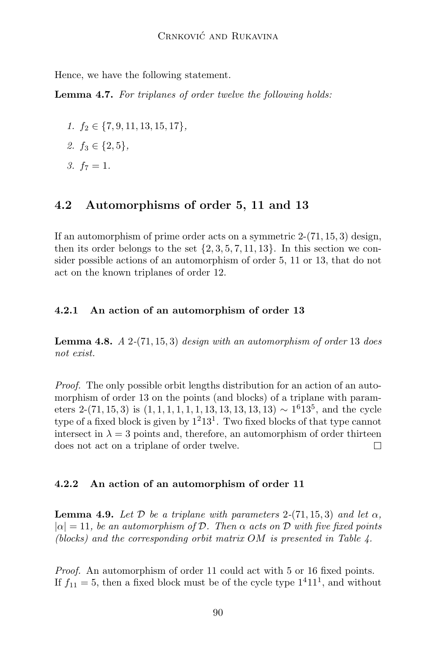Hence, we have the following statement.

Lemma 4.7. For triplanes of order twelve the following holds:

- 1.  $f_2 \in \{7, 9, 11, 13, 15, 17\},\$
- 2.  $f_3 \in \{2, 5\}$ ,
- 3.  $f_7 = 1$ .

#### 4.2 Automorphisms of order 5, 11 and 13

If an automorphism of prime order acts on a symmetric  $2-(71, 15, 3)$  design, then its order belongs to the set  $\{2, 3, 5, 7, 11, 13\}$ . In this section we consider possible actions of an automorphism of order 5, 11 or 13, that do not act on the known triplanes of order 12.

#### 4.2.1 An action of an automorphism of order 13

**Lemma 4.8.**  $A$  2-(71, 15, 3) design with an automorphism of order 13 does not exist.

Proof. The only possible orbit lengths distribution for an action of an automorphism of order 13 on the points (and blocks) of a triplane with parameters 2-(71, 15, 3) is  $(1, 1, 1, 1, 1, 1, 1, 13, 13, 13, 13, 13) \sim 1^6 13^5$ , and the cycle type of a fixed block is given by  $1^213^1$ . Two fixed blocks of that type cannot intersect in  $\lambda = 3$  points and, therefore, an automorphism of order thirteen does not act on a triplane of order twelve.  $\Box$ 

#### 4.2.2 An action of an automorphism of order 11

**Lemma 4.9.** Let D be a triplane with parameters  $2-(71, 15, 3)$  and let  $\alpha$ ,  $|\alpha| = 11$ , be an automorphism of D. Then  $\alpha$  acts on D with five fixed points (blocks) and the corresponding orbit matrix OM is presented in Table 4.

Proof. An automorphism of order 11 could act with 5 or 16 fixed points. If  $f_{11} = 5$ , then a fixed block must be of the cycle type  $1<sup>4</sup>11<sup>1</sup>$ , and without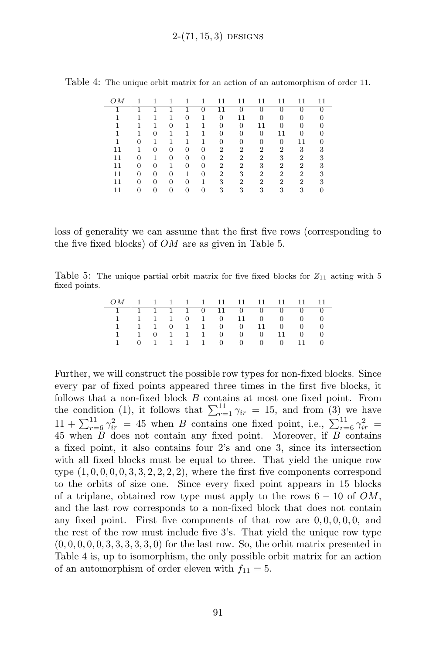| OΜ |   |   |   |   |   |   |    |                |          |    |  |
|----|---|---|---|---|---|---|----|----------------|----------|----|--|
|    |   |   |   |   |   |   |    | $\Omega$       | $\Omega$ |    |  |
|    |   |   |   |   |   |   | 11 |                |          |    |  |
|    |   |   | O |   |   |   | 0  | 11             |          |    |  |
|    |   | 0 |   |   |   |   | 0  | 0              | 11       |    |  |
|    | 0 |   |   |   |   |   | 0  | $\Omega$       | 0        | 11 |  |
| 11 |   |   | 0 | 0 | 0 | 2 | 2  | 2              | 2        | 3  |  |
| 11 |   |   | 0 | 0 | 0 | 2 | 2  | 2              | 3        | 2  |  |
| 11 |   | 0 |   | 0 | 0 | 2 | 2  | 3              | 2        | 2  |  |
| 11 |   | 0 |   |   | 0 | 2 | 3  | $\overline{2}$ | 2        | 2  |  |
| 11 |   | 0 | O |   |   | 3 | 2  | $\overline{2}$ | 2        | 2  |  |
| 11 |   |   |   |   |   | 3 | 3  | 3              | 3        | 3  |  |

Table 4: The unique orbit matrix for an action of an automorphism of order 11.

loss of generality we can assume that the first five rows (corresponding to the five fixed blocks) of  $OM$  are as given in Table 5.

Table 5: The unique partial orbit matrix for five fixed blocks for  $Z_{11}$  acting with 5 fixed points.

| $\begin{array}{cccccccccccc} 1 & 1 & 1 & 1 & 1 & 0 & 11 & 0 & 0 & 0 & 0 & 0 \\ 1 & 1 & 1 & 1 & 0 & 1 & 0 & 11 & 0 & 0 & 0 & 0 \\ 1 & 1 & 1 & 0 & 1 & 1 & 0 & 0 & 11 & 0 & 0 & 0 \\ 1 & 1 & 0 & 1 & 1 & 1 & 0 & 0 & 0 & 11 & 0 & 0 \\ 1 & 0 & 1 & 1 & 1 & 1 & 0 & 0 & 0 & 0 & 11 & 0 \\ \end{array}$ |  |  |  |  |  |  |
|-----------------------------------------------------------------------------------------------------------------------------------------------------------------------------------------------------------------------------------------------------------------------------------------------------|--|--|--|--|--|--|

Further, we will construct the possible row types for non-fixed blocks. Since every par of fixed points appeared three times in the first five blocks, it follows that a non-fixed block  $B$  contains at most one fixed point. From the condition (1), it follows that  $\sum_{r=1}^{11} \gamma_{ir} = 15$ , and from (3) we have  $11 + \sum_{r=6}^{11} \gamma_{ir}^2 = 45$  when B contains one fixed point, i.e.,  $\sum_{r=6}^{11} \gamma_{ir}^2 =$ 45 when B does not contain any fixed point. Moreover, if B contains a fixed point, it also contains four 2's and one 3, since its intersection with all fixed blocks must be equal to three. That yield the unique row type  $(1, 0, 0, 0, 0, 3, 3, 2, 2, 2, 2)$ , where the first five components correspond to the orbits of size one. Since every fixed point appears in 15 blocks of a triplane, obtained row type must apply to the rows  $6 - 10$  of  $OM$ , and the last row corresponds to a non-fixed block that does not contain any fixed point. First five components of that row are  $0, 0, 0, 0, 0, 0$ , and the rest of the row must include five 3's. That yield the unique row type  $(0, 0, 0, 0, 0, 3, 3, 3, 3, 3, 0)$  for the last row. So, the orbit matrix presented in Table 4 is, up to isomorphism, the only possible orbit matrix for an action of an automorphism of order eleven with  $f_{11} = 5$ .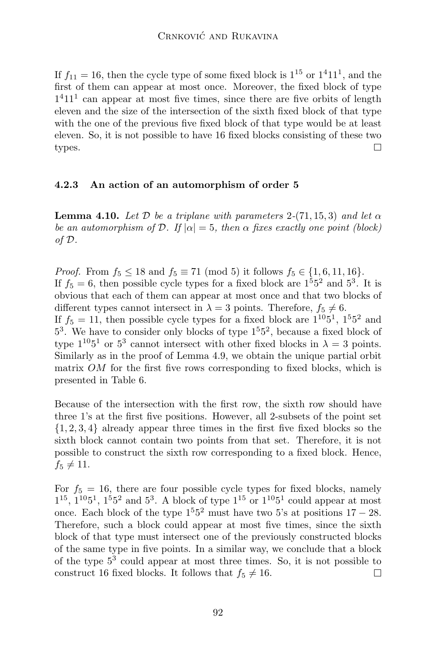If  $f_{11} = 16$ , then the cycle type of some fixed block is  $1^{15}$  or  $1^4 11^1$ , and the first of them can appear at most once. Moreover, the fixed block of type  $1<sup>4</sup>11<sup>1</sup>$  can appear at most five times, since there are five orbits of length eleven and the size of the intersection of the sixth fixed block of that type with the one of the previous five fixed block of that type would be at least eleven. So, it is not possible to have 16 fixed blocks consisting of these two types. П

#### 4.2.3 An action of an automorphism of order 5

**Lemma 4.10.** Let D be a triplane with parameters 2-(71, 15, 3) and let  $\alpha$ be an automorphism of D. If  $|\alpha|=5$ , then  $\alpha$  fixes exactly one point (block) of D.

*Proof.* From  $f_5 \le 18$  and  $f_5 \equiv 71 \pmod{5}$  it follows  $f_5 \in \{1, 6, 11, 16\}$ . If  $f_5 = 6$ , then possible cycle types for a fixed block are  $1^55^2$  and  $5^3$ . It is obvious that each of them can appear at most once and that two blocks of different types cannot intersect in  $\lambda = 3$  points. Therefore,  $f_5 \neq 6$ . If  $f_5 = 11$ , then possible cycle types for a fixed block are  $1^{10}5^1$ ,  $1^55^2$  and 5 3 . We have to consider only blocks of type 1<sup>5</sup>5 2 , because a fixed block of type  $1^{10}5^1$  or  $5^3$  cannot intersect with other fixed blocks in  $\lambda = 3$  points. Similarly as in the proof of Lemma 4.9, we obtain the unique partial orbit matrix OM for the first five rows corresponding to fixed blocks, which is presented in Table 6.

Because of the intersection with the first row, the sixth row should have three 1's at the first five positions. However, all 2-subsets of the point set {1, 2, 3, 4} already appear three times in the first five fixed blocks so the sixth block cannot contain two points from that set. Therefore, it is not possible to construct the sixth row corresponding to a fixed block. Hence,  $f_5 \neq 11.$ 

For  $f_5 = 16$ , there are four possible cycle types for fixed blocks, namely  $1^{15}$ ,  $1^{10}5^1$ ,  $1^55^2$  and  $5^3$ . A block of type  $1^{15}$  or  $1^{10}5^1$  could appear at most once. Each block of the type  $1^55^2$  must have two 5's at positions  $17 - 28$ . Therefore, such a block could appear at most five times, since the sixth block of that type must intersect one of the previously constructed blocks of the same type in five points. In a similar way, we conclude that a block of the type  $5^3$  could appear at most three times. So, it is not possible to construct 16 fixed blocks. It follows that  $f_5 \neq 16$ .  $\Box$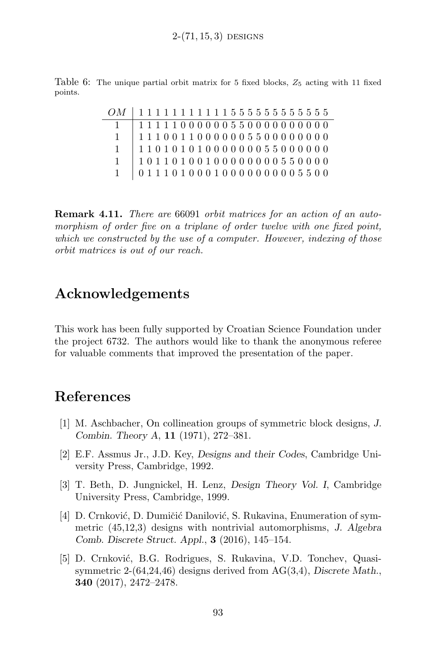Table 6: The unique partial orbit matrix for 5 fixed blocks,  $Z_5$  acting with 11 fixed points.

|              | $OM$   1111111111155555555555555 |
|--------------|----------------------------------|
| $\mathbf{1}$ | 111110000005500000000000         |
| $\mathbf{1}$ | 11100110000005500000000          |
| $\mathbf{1}$ |                                  |
| $\mathbf{1}$ |                                  |
| $\mathbf{1}$ | $0.11101000100000000005500$      |

**Remark 4.11.** There are 66091 orbit matrices for an action of an automorphism of order five on a triplane of order twelve with one fixed point, which we constructed by the use of a computer. However, indexing of those orbit matrices is out of our reach.

## Acknowledgements

This work has been fully supported by Croatian Science Foundation under the project 6732. The authors would like to thank the anonymous referee for valuable comments that improved the presentation of the paper.

## References

- [1] M. Aschbacher, On collineation groups of symmetric block designs, J. Combin. Theory A, 11 (1971), 272–381.
- [2] E.F. Assmus Jr., J.D. Key, Designs and their Codes, Cambridge University Press, Cambridge, 1992.
- [3] T. Beth, D. Jungnickel, H. Lenz, Design Theory Vol. I, Cambridge University Press, Cambridge, 1999.
- [4] D. Crnković, D. Dumičić Danilović, S. Rukavina, Enumeration of symmetric (45,12,3) designs with nontrivial automorphisms, J. Algebra Comb. Discrete Struct. Appl., 3 (2016), 145–154.
- [5] D. Crnković, B.G. Rodrigues, S. Rukavina, V.D. Tonchev, Quasisymmetric 2-(64,24,46) designs derived from AG(3,4), Discrete Math., 340 (2017), 2472–2478.